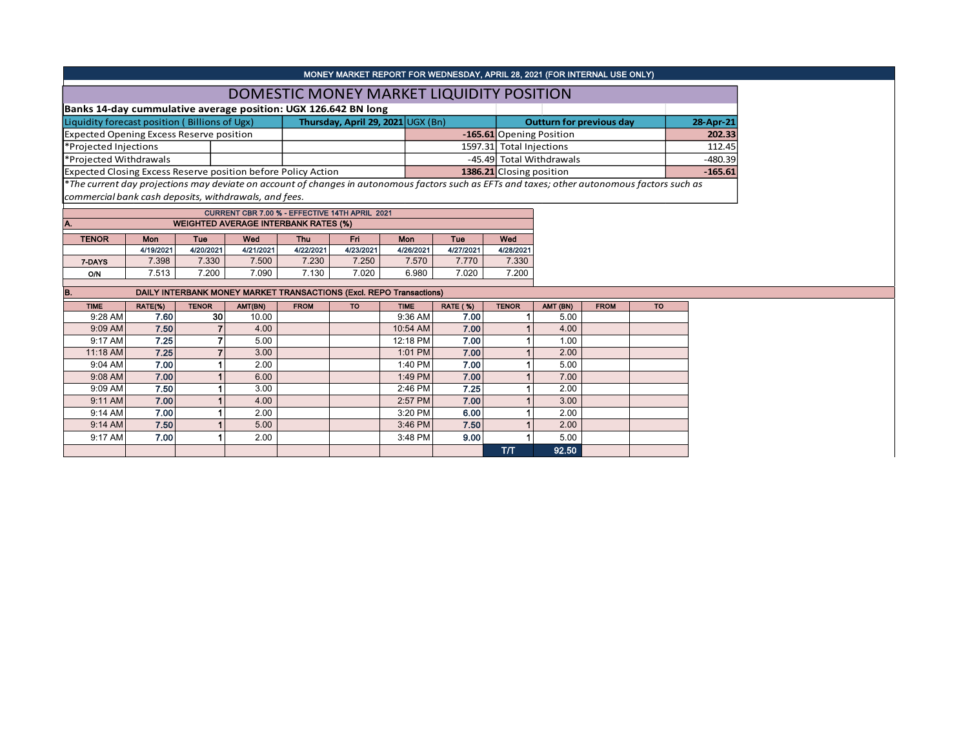|                                                               |              |              |                                             |             | MONEY MARKET REPORT FOR WEDNESDAY, APRIL 28, 2021 (FOR INTERNAL USE ONLY)                                                                     |                    |                 |                                 |                          |             |           |           |
|---------------------------------------------------------------|--------------|--------------|---------------------------------------------|-------------|-----------------------------------------------------------------------------------------------------------------------------------------------|--------------------|-----------------|---------------------------------|--------------------------|-------------|-----------|-----------|
|                                                               |              |              |                                             |             | DOMESTIC MONEY MARKET LIQUIDITY POSITION                                                                                                      |                    |                 |                                 |                          |             |           |           |
|                                                               |              |              |                                             |             | Banks 14-day cummulative average position: UGX 126.642 BN long                                                                                |                    |                 |                                 |                          |             |           |           |
| Liquidity forecast position (Billions of Ugx)                 |              |              |                                             |             | Thursday, April 29, 2021 UGX (Bn)                                                                                                             |                    |                 | <b>Outturn for previous day</b> | 28-Apr-21                |             |           |           |
| <b>Expected Opening Excess Reserve position</b>               |              |              |                                             |             |                                                                                                                                               |                    |                 | -165.61 Opening Position        |                          |             | 202.33    |           |
| *Projected Injections                                         |              |              |                                             |             |                                                                                                                                               |                    |                 | 1597.31 Total Injections        |                          |             |           | 112.45    |
| *Projected Withdrawals                                        |              |              |                                             |             |                                                                                                                                               |                    |                 |                                 | -45.49 Total Withdrawals |             |           | $-480.39$ |
| Expected Closing Excess Reserve position before Policy Action |              |              |                                             |             |                                                                                                                                               |                    |                 | 1386.21 Closing position        |                          |             |           | $-165.61$ |
|                                                               |              |              |                                             |             | *The current day projections may deviate on account of changes in autonomous factors such as EFTs and taxes; other autonomous factors such as |                    |                 |                                 |                          |             |           |           |
| commercial bank cash deposits, withdrawals, and fees.         |              |              |                                             |             |                                                                                                                                               |                    |                 |                                 |                          |             |           |           |
|                                                               |              |              |                                             |             | CURRENT CBR 7.00 % - EFFECTIVE 14TH APRIL 2021                                                                                                |                    |                 |                                 |                          |             |           |           |
| А.                                                            |              |              | <b>WEIGHTED AVERAGE INTERBANK RATES (%)</b> |             |                                                                                                                                               |                    |                 |                                 |                          |             |           |           |
| <b>TENOR</b>                                                  | <b>Mon</b>   | Tue          | Wed                                         | Thu         | Fri.                                                                                                                                          | Mon                | Tue<br>Wed      |                                 |                          |             |           |           |
|                                                               | 4/19/2021    | 4/20/2021    | 4/21/2021                                   | 4/22/2021   | 4/23/2021                                                                                                                                     | 4/26/2021          | 4/27/2021       | 4/28/2021                       |                          |             |           |           |
| 7-DAYS                                                        | 7.398        | 7.330        | 7.500                                       | 7.230       | 7.250                                                                                                                                         | 7.570              | 7.770           | 7.330                           |                          |             |           |           |
| O/N                                                           | 7.513        | 7.200        | 7.090                                       | 7.130       | 7.020                                                                                                                                         | 6.980              | 7.020           | 7.200                           |                          |             |           |           |
|                                                               |              |              |                                             |             |                                                                                                                                               |                    |                 |                                 |                          |             |           |           |
| В.                                                            |              |              |                                             |             | DAILY INTERBANK MONEY MARKET TRANSACTIONS (Excl. REPO Transactions)                                                                           |                    |                 |                                 |                          |             |           |           |
| <b>TIME</b>                                                   | RATE(%)      | <b>TENOR</b> | AMT(BN)                                     | <b>FROM</b> | <b>TO</b>                                                                                                                                     | <b>TIME</b>        | <b>RATE (%)</b> | <b>TENOR</b>                    | AMT (BN)                 | <b>FROM</b> | <b>TO</b> |           |
| $9:28$ AM                                                     | 7.60         | 30           | 10.00                                       |             |                                                                                                                                               | 9:36 AM            | 7.00            | 1                               | 5.00                     |             |           |           |
| 9:09 AM                                                       | 7.50         |              | 4.00                                        |             |                                                                                                                                               | 10:54 AM           | 7.00            |                                 | 4.00                     |             |           |           |
| 9:17 AM                                                       | 7.25         |              | 5.00                                        |             |                                                                                                                                               | 12:18 PM           | 7.00            |                                 | 1.00                     |             |           |           |
| 11:18 AM<br>9:04 AM                                           | 7.25         |              | 3.00<br>2.00                                |             |                                                                                                                                               | 1:01 PM<br>1:40 PM | 7.00            |                                 | 2.00<br>5.00             |             |           |           |
| 9:08 AM                                                       | 7.00<br>7.00 |              | 6.00                                        |             |                                                                                                                                               |                    | 7.00<br>7.00    |                                 | 7.00                     |             |           |           |
| 9:09 AM                                                       |              |              |                                             |             |                                                                                                                                               | 1:49 PM<br>2:46 PM | 7.25            |                                 | 2.00                     |             |           |           |
|                                                               |              |              |                                             |             |                                                                                                                                               |                    |                 |                                 |                          |             |           |           |
|                                                               | 7.50         |              | 3.00                                        |             |                                                                                                                                               |                    |                 |                                 |                          |             |           |           |
| 9:11 AM                                                       | 7.00         |              | 4.00                                        |             |                                                                                                                                               | 2:57 PM            | 7.00            |                                 | 3.00                     |             |           |           |
| 9:14 AM                                                       | 7.00         |              | 2.00                                        |             |                                                                                                                                               | 3:20 PM            | 6.00            |                                 | 2.00                     |             |           |           |
| 9:14 AM<br>9:17 AM                                            | 7.50<br>7.00 |              | 5.00<br>2.00                                |             |                                                                                                                                               | 3:46 PM<br>3:48 PM | 7.50<br>9.00    |                                 | 2.00<br>5.00             |             |           |           |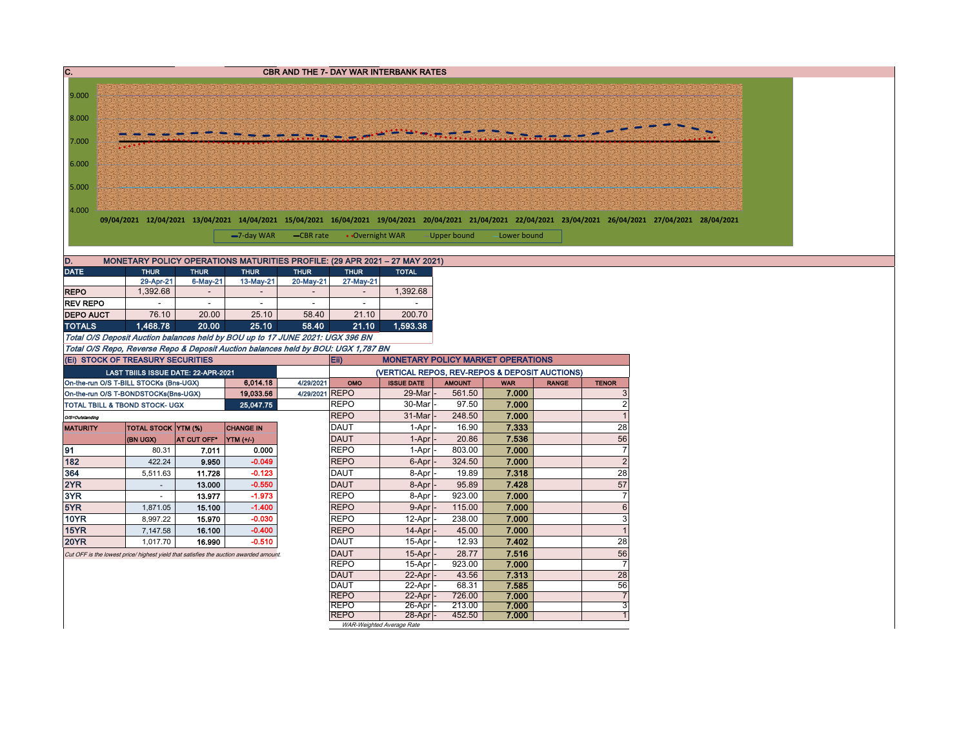| $\overline{\mathbf{C}}$ |                                        |             |                                                                                                                                                                            |                          |                 | <b>CBR AND THE 7- DAY WAR INTERBANK RATES</b>                       |                                          |             |              |                  |
|-------------------------|----------------------------------------|-------------|----------------------------------------------------------------------------------------------------------------------------------------------------------------------------|--------------------------|-----------------|---------------------------------------------------------------------|------------------------------------------|-------------|--------------|------------------|
|                         |                                        |             |                                                                                                                                                                            |                          |                 |                                                                     |                                          |             |              |                  |
| 9.000                   |                                        |             |                                                                                                                                                                            |                          |                 |                                                                     |                                          |             |              |                  |
| 8.000                   |                                        |             |                                                                                                                                                                            |                          |                 |                                                                     |                                          |             |              |                  |
| 7.000                   |                                        |             |                                                                                                                                                                            |                          |                 |                                                                     |                                          |             |              |                  |
| 6.000                   |                                        |             |                                                                                                                                                                            |                          |                 |                                                                     |                                          |             |              |                  |
| 5.000                   |                                        |             |                                                                                                                                                                            |                          |                 |                                                                     |                                          |             |              |                  |
| 4.000                   |                                        |             |                                                                                                                                                                            |                          |                 |                                                                     |                                          |             |              |                  |
|                         |                                        |             | 09/04/2021 12/04/2021 13/04/2021 14/04/2021 15/04/2021 16/04/2021 19/04/2021 20/04/2021 21/04/2021 22/04/2021 23/04/2021 26/04/2021 27/04/2021 28/04/2021<br>$-7$ -day WAR | -CBR rate                | • Overnight WAR |                                                                     | Upper bound                              | Lower bound |              |                  |
|                         |                                        |             |                                                                                                                                                                            |                          |                 |                                                                     |                                          |             |              |                  |
| D.                      |                                        |             | MONETARY POLICY OPERATIONS MATURITIES PROFILE: (29 APR 2021 - 27 MAY 2021)                                                                                                 |                          |                 |                                                                     |                                          |             |              |                  |
| <b>DATE</b>             | <b>THUR</b>                            | <b>THUR</b> | <b>THUR</b>                                                                                                                                                                | <b>THUR</b>              | <b>THUR</b>     | <b>TOTAL</b>                                                        |                                          |             |              |                  |
|                         | 29-Apr-21                              | 6-May-21    | 13-May-21                                                                                                                                                                  | 20-May-21                | 27-May-21       |                                                                     |                                          |             |              |                  |
| <b>REPO</b>             | 1,392.68                               |             | $\overline{\phantom{a}}$                                                                                                                                                   | $\overline{\phantom{a}}$ | $\sim$          | 1,392.68                                                            |                                          |             |              |                  |
| <b>REV REPO</b>         | 76.10                                  | 20.00       | 25.10                                                                                                                                                                      |                          | 21.10           | 200.70                                                              |                                          |             |              |                  |
| <b>DEPO AUCT</b>        |                                        |             |                                                                                                                                                                            | 58.40                    |                 |                                                                     |                                          |             |              |                  |
| <b>TOTALS</b>           | 1,468.78                               | 20.00       | 25.10                                                                                                                                                                      | 58.40                    | 21.10           | 1,593.38                                                            |                                          |             |              |                  |
|                         |                                        |             | Total O/S Deposit Auction balances held by BOU up to 17 JUNE 2021: UGX 396 BN                                                                                              |                          |                 |                                                                     |                                          |             |              |                  |
|                         | (Ei) STOCK OF TREASURY SECURITIES      |             | Total O/S Repo, Reverse Repo & Deposit Auction balances held by BOU: UGX 1,787 BN                                                                                          |                          |                 |                                                                     | <b>MONETARY POLICY MARKET OPERATIONS</b> |             |              |                  |
|                         | LAST TBIILS ISSUE DATE: 22-APR-2021    |             |                                                                                                                                                                            |                          | Eii)            |                                                                     |                                          |             |              |                  |
|                         | On-the-run O/S T-BILL STOCKs (Bns-UGX) |             | 6,014.18                                                                                                                                                                   | 4/29/2021                | OMO             | (VERTICAL REPOS, REV-REPOS & DEPOSIT AUCTIONS)<br><b>ISSUE DATE</b> | <b>AMOUNT</b>                            | <b>WAR</b>  | <b>RANGE</b> | <b>TENOR</b>     |
|                         | On-the-run O/S T-BONDSTOCKs(Bns-UGX)   |             | 19,033.56                                                                                                                                                                  | 4/29/2021 REPO           |                 | 29-Mar                                                              | 561.50                                   | 7.000       |              | 3                |
|                         | TOTAL TBILL & TBOND STOCK- UGX         |             | 25,047.75                                                                                                                                                                  |                          | <b>REPO</b>     | 30-Mar                                                              | 97.50                                    | 7.000       |              | $\overline{2}$   |
| O/S=Outstanding         |                                        |             |                                                                                                                                                                            |                          | <b>REPO</b>     | 31-Mar                                                              | 248.50                                   | 7.000       |              | $\overline{1}$   |
| <b>MATURITY</b>         | TOTAL STOCK YTM (%)                    |             | <b>CHANGE IN</b>                                                                                                                                                           |                          | <b>DAUT</b>     | 1-Apr                                                               | 16.90                                    | 7.333       |              | 28               |
|                         | (BN UGX)                               | AT CUT OFF* | YTM (+/-)                                                                                                                                                                  |                          | <b>DAUT</b>     | 1-Apr                                                               | 20.86                                    | 7.536       |              | 56               |
| 91                      | 80.31                                  | 7.011       | 0.000                                                                                                                                                                      |                          | <b>REPO</b>     | 1-Apr                                                               | 803.00                                   | 7.000       |              | $\overline{7}$   |
| 182                     | 422.24                                 | 9.950       | $-0.049$                                                                                                                                                                   |                          | <b>REPO</b>     | 6-Apr                                                               | 324.50                                   | 7.000       |              | $\mathbf 2$      |
| 364                     | 5,511.63                               | 11.728      | $-0.123$                                                                                                                                                                   |                          | <b>DAUT</b>     | 8-Apr                                                               | 19.89                                    | 7.318       |              | 28               |
| 2YR                     | $\omega$                               | 13.000      | $-0.550$                                                                                                                                                                   |                          | <b>DAUT</b>     | 8-Apr                                                               | 95.89                                    | 7.428       |              | 57               |
| 3YR                     | $\sim$                                 | 13.977      | $-1.973$                                                                                                                                                                   |                          | <b>REPO</b>     | 8-Apr                                                               | 923.00                                   | 7.000       |              | $\boldsymbol{7}$ |
| 5YR                     | 1,871.05                               | 15.100      | $-1.400$                                                                                                                                                                   |                          | <b>REPO</b>     | 9-Apr                                                               | 115.00                                   | 7.000       |              | $\,6\,$          |
| <b>10YR</b>             | 8,997.22                               | 15.970      | $-0.030$                                                                                                                                                                   |                          | <b>REPO</b>     | 12-Apr                                                              | 238.00                                   | 7.000       |              | $\mathbf{3}$     |
| 15YR                    | 7,147.58                               | 16.100      | $-0.400$                                                                                                                                                                   |                          | <b>REPO</b>     | 14-Apr                                                              | 45.00                                    | 7.000       |              | $\overline{1}$   |
| <b>20YR</b>             | 1,017.70                               | 16.990      | $-0.510$                                                                                                                                                                   |                          | <b>DAUT</b>     | 15-Apr                                                              | 12.93                                    | 7.402       |              | 28               |
|                         |                                        |             | Cut OFF is the lowest price/ highest yield that satisfies the auction awarded amount.                                                                                      |                          | <b>DAUT</b>     | 15-Apr                                                              | 28.77                                    | 7.516       |              | 56               |
|                         |                                        |             |                                                                                                                                                                            |                          | <b>REPO</b>     | 15-Apr                                                              | 923.00                                   | 7.000       |              | $\overline{7}$   |
|                         |                                        |             |                                                                                                                                                                            |                          | <b>DAUT</b>     | 22-Apr                                                              | 43.56                                    | 7.313       |              | 28               |
|                         |                                        |             |                                                                                                                                                                            |                          | <b>DAUT</b>     | 22-Apr                                                              | 68.31                                    | 7.585       |              | 56               |
|                         |                                        |             |                                                                                                                                                                            |                          | <b>REPO</b>     | 22-Apr                                                              | 726.00                                   | 7.000       |              | $\overline{7}$   |
|                         |                                        |             |                                                                                                                                                                            |                          | <b>REPO</b>     | 26-Apr                                                              | 213.00                                   | 7.000       |              | $\overline{3}$   |
|                         |                                        |             |                                                                                                                                                                            |                          | <b>REPO</b>     | $28-Apr$<br>WAR-Weighted Average Rate                               | 452.50                                   | 7.000       |              | $\mathbf{1}$     |
|                         |                                        |             |                                                                                                                                                                            |                          |                 |                                                                     |                                          |             |              |                  |
|                         |                                        |             |                                                                                                                                                                            |                          |                 |                                                                     |                                          |             |              |                  |